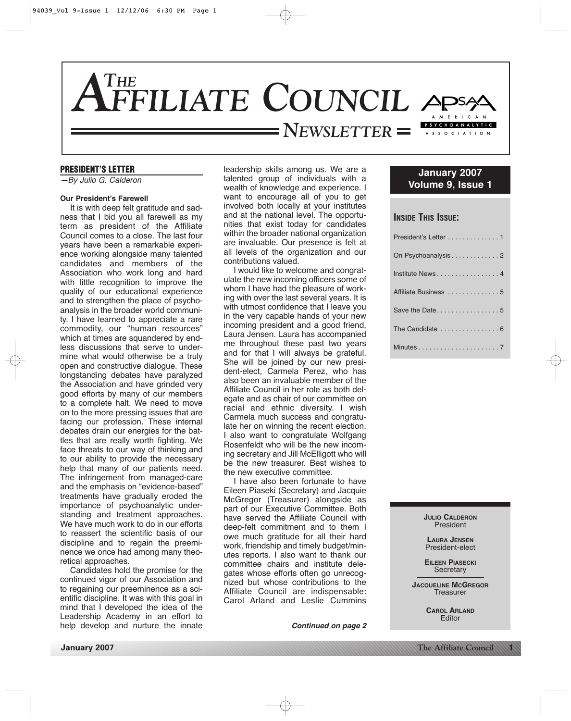

#### **PRESIDENT'S LETTER**

—By Julio G. Calderon

#### **Our President's Farewell**

It is with deep felt gratitude and sadness that I bid you all farewell as my term as president of the Affiliate Council comes to a close. The last four years have been a remarkable experience working alongside many talented candidates and members of the Association who work long and hard with little recognition to improve the quality of our educational experience and to strengthen the place of psychoanalysis in the broader world community. I have learned to appreciate a rare commodity, our "human resources" which at times are squandered by endless discussions that serve to undermine what would otherwise be a truly open and constructive dialogue. These longstanding debates have paralyzed the Association and have grinded very good efforts by many of our members to a complete halt. We need to move on to the more pressing issues that are facing our profession. These internal debates drain our energies for the battles that are really worth fighting. We face threats to our way of thinking and to our ability to provide the necessary help that many of our patients need. The infringement from managed-care and the emphasis on "evidence-based" treatments have gradually eroded the importance of psychoanalytic understanding and treatment approaches. We have much work to do in our efforts to reassert the scientific basis of our discipline and to regain the preeminence we once had among many theoretical approaches.

Candidates hold the promise for the continued vigor of our Association and to regaining our preeminence as a scientific discipline. It was with this goal in mind that I developed the idea of the Leadership Academy in an effort to help develop and nurture the innate

leadership skills among us. We are a talented group of individuals with a wealth of knowledge and experience. I want to encourage all of you to get involved both locally at your institutes and at the national level. The opportunities that exist today for candidates within the broader national organization are invaluable. Our presence is felt at all levels of the organization and our contributions valued.

I would like to welcome and congratulate the new incoming officers some of whom I have had the pleasure of working with over the last several years. It is with utmost confidence that I leave you in the very capable hands of your new incoming president and a good friend, Laura Jensen. Laura has accompanied me throughout these past two years and for that I will always be grateful. She will be joined by our new president-elect, Carmela Perez, who has also been an invaluable member of the Affiliate Council in her role as both delegate and as chair of our committee on racial and ethnic diversity. I wish Carmela much success and congratulate her on winning the recent election. I also want to congratulate Wolfgang Rosenfeldt who will be the new incoming secretary and Jill McElligott who will be the new treasurer. Best wishes to the new executive committee.

I have also been fortunate to have Eileen Piaseki (Secretary) and Jacquie McGregor (Treasurer) alongside as part of our Executive Committee. Both have served the Affiliate Council with deep-felt commitment and to them I owe much gratitude for all their hard work, friendship and timely budget/minutes reports. I also want to thank our committee chairs and institute delegates whose efforts often go unrecognized but whose contributions to the Affiliate Council are indispensable: Carol Arland and Leslie Cummins

*Continued on page 2*

# **January 2007 Volume 9, Issue 1**

## **INSIDE THIS ISSUE:**

| President's Letter 1 |
|----------------------|
| On Psychoanalysis2   |
| Institute News4      |
| Affiliate Business 5 |
| Save the Date5       |
|                      |
|                      |

**JULIO CALDERON** President

**LAURA JENSEN** President-elect

**EILEEN PIASECKI Secretary** 

**JACQUELINE MCGREGOR Treasurer** 

> **CAROL ARLAND** Editor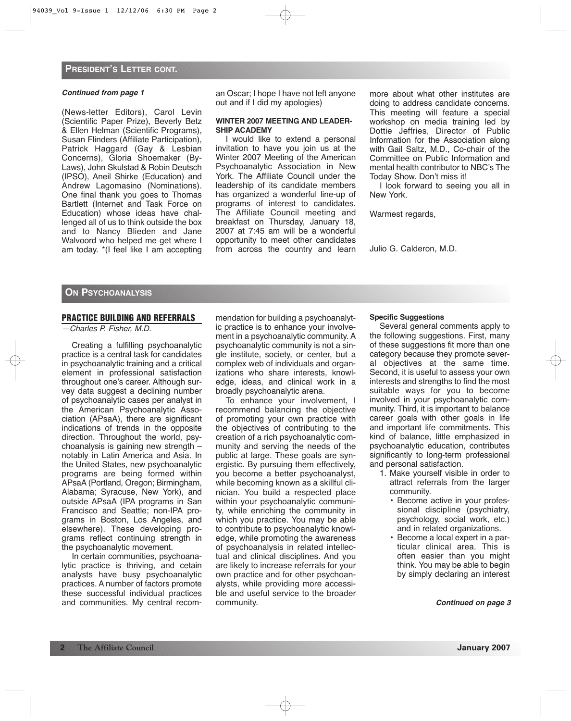#### *Continued from page 1*

(News-letter Editors), Carol Levin (Scientific Paper Prize), Beverly Betz & Ellen Helman (Scientific Programs), Susan Flinders (Affiliate Participation), Patrick Haggard (Gay & Lesbian Concerns), Gloria Shoemaker (By-Laws), John Skulstad & Robin Deutsch (IPSO), Aneil Shirke (Education) and Andrew Lagomasino (Nominations). One final thank you goes to Thomas Bartlett (Internet and Task Force on Education) whose ideas have challenged all of us to think outside the box and to Nancy Blieden and Jane Walvoord who helped me get where I am today. \*(I feel like I am accepting an Oscar; I hope I have not left anyone out and if I did my apologies)

#### **WINTER 2007 MEETING AND LEADER-SHIP ACADEMY**

I would like to extend a personal invitation to have you join us at the Winter 2007 Meeting of the American Psychoanalytic Association in New York. The Affiliate Council under the leadership of its candidate members has organized a wonderful line-up of programs of interest to candidates. The Affiliate Council meeting and breakfast on Thursday, January 18, 2007 at 7:45 am will be a wonderful opportunity to meet other candidates from across the country and learn more about what other institutes are doing to address candidate concerns. This meeting will feature a special workshop on media training led by Dottie Jeffries, Director of Public Information for the Association along with Gail Saltz, M.D., Co-chair of the Committee on Public Information and mental health contributor to NBC's The Today Show. Don't miss it!

I look forward to seeing you all in New York.

Warmest regards,

Julio G. Calderon, M.D.

## **ON PSYCHOANALYSIS**

## **PRACTICE BUILDING AND REFERRALS**

—Charles P. Fisher, M.D.

Creating a fulfilling psychoanalytic practice is a central task for candidates in psychoanalytic training and a critical element in professional satisfaction throughout one's career. Although survey data suggest a declining number of psychoanalytic cases per analyst in the American Psychoanalytic Association (APsaA), there are significant indications of trends in the opposite direction. Throughout the world, psychoanalysis is gaining new strength – notably in Latin America and Asia. In the United States, new psychoanalytic programs are being formed within APsaA (Portland, Oregon; Birmingham, Alabama; Syracuse, New York), and outside APsaA (IPA programs in San Francisco and Seattle; non-IPA programs in Boston, Los Angeles, and elsewhere). These developing programs reflect continuing strength in the psychoanalytic movement.

In certain communities, psychoanalytic practice is thriving, and cetain analysts have busy psychoanalytic practices. A number of factors promote these successful individual practices and communities. My central recommendation for building a psychoanalytic practice is to enhance your involvement in a psychoanalytic community. A psychoanalytic community is not a single institute, society, or center, but a complex web of individuals and organizations who share interests, knowledge, ideas, and clinical work in a broadly psychoanalytic arena.

To enhance your involvement, I recommend balancing the objective of promoting your own practice with the objectives of contributing to the creation of a rich psychoanalytic community and serving the needs of the public at large. These goals are synergistic. By pursuing them effectively, you become a better psychoanalyst, while becoming known as a skillful clinician. You build a respected place within your psychoanalytic community, while enriching the community in which you practice. You may be able to contribute to psychoanalytic knowledge, while promoting the awareness of psychoanalysis in related intellectual and clinical disciplines. And you are likely to increase referrals for your own practice and for other psychoanalysts, while providing more accessible and useful service to the broader community.

## **Specific Suggestions**

Several general comments apply to the following suggestions. First, many of these suggestions fit more than one category because they promote several objectives at the same time. Second, it is useful to assess your own interests and strengths to find the most suitable ways for you to become involved in your psychoanalytic community. Third, it is important to balance career goals with other goals in life and important life commitments. This kind of balance, little emphasized in psychoanalytic education, contributes significantly to long-term professional and personal satisfaction.

- 1. Make yourself visible in order to attract referrals from the larger community.
	- Become active in your professional discipline (psychiatry, psychology, social work, etc.) and in related organizations.
	- Become a local expert in a particular clinical area. This is often easier than you might think. You may be able to begin by simply declaring an interest

*Continued on page 3*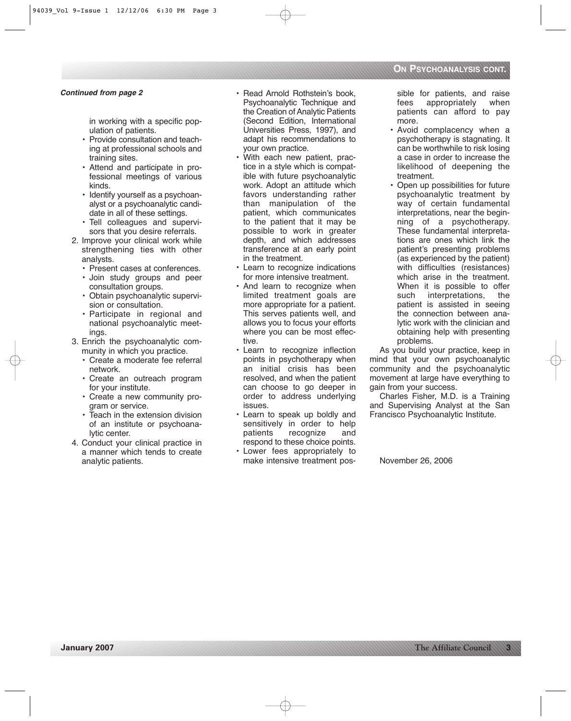## *Continued from page 2*

in working with a specific population of patients.

- Provide consultation and teaching at professional schools and training sites.
- Attend and participate in professional meetings of various kinds.
- Identify yourself as a psychoanalyst or a psychoanalytic candidate in all of these settings.
- Tell colleagues and supervisors that you desire referrals.
- 2. Improve your clinical work while strengthening ties with other analysts.
	- Present cases at conferences.
	- Join study groups and peer consultation groups.
	- Obtain psychoanalytic supervision or consultation.
	- Participate in regional and national psychoanalytic meetings.
- 3. Enrich the psychoanalytic community in which you practice.
	- Create a moderate fee referral network.
	- Create an outreach program for your institute.
	- Create a new community program or service.
	- Teach in the extension division of an institute or psychoanalytic center.
- 4. Conduct your clinical practice in a manner which tends to create analytic patients.
- Read Arnold Rothstein's book, Psychoanalytic Technique and the Creation of Analytic Patients (Second Edition, International Universities Press, 1997), and adapt his recommendations to your own practice.
- With each new patient, practice in a style which is compatible with future psychoanalytic work. Adopt an attitude which favors understanding rather than manipulation of the patient, which communicates to the patient that it may be possible to work in greater depth, and which addresses transference at an early point in the treatment.
- Learn to recognize indications for more intensive treatment.
- And learn to recognize when limited treatment goals are more appropriate for a patient. This serves patients well, and allows you to focus your efforts where you can be most effective.
- Learn to recognize inflection points in psychotherapy when an initial crisis has been resolved, and when the patient can choose to go deeper in order to address underlying issues.
- Learn to speak up boldly and sensitively in order to help patients recognize and respond to these choice points.
- Lower fees appropriately to make intensive treatment pos-

sible for patients, and raise fees appropriately when patients can afford to pay more.

- Avoid complacency when a psychotherapy is stagnating. It can be worthwhile to risk losing a case in order to increase the likelihood of deepening the treatment.
- Open up possibilities for future psychoanalytic treatment by way of certain fundamental interpretations, near the beginning of a psychotherapy. These fundamental interpretations are ones which link the patient's presenting problems (as experienced by the patient) with difficulties (resistances) which arise in the treatment. When it is possible to offer such interpretations, the patient is assisted in seeing the connection between analytic work with the clinician and obtaining help with presenting problems.

As you build your practice, keep in mind that your own psychoanalytic community and the psychoanalytic movement at large have everything to gain from your success.

Charles Fisher, M.D. is a Training and Supervising Analyst at the San Francisco Psychoanalytic Institute.

November 26, 2006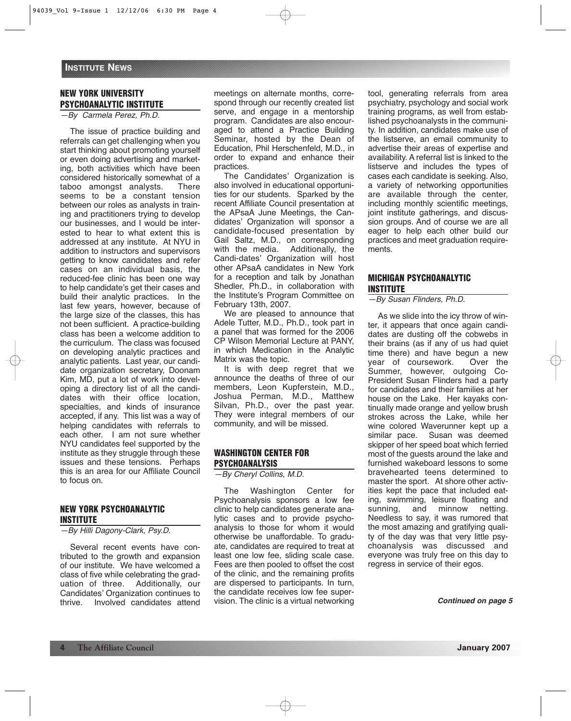## **NEW YORK UNIVERSITY PSYCHOANALYTIC INSTITUTE**

—By Carmela Perez, Ph.D.

The issue of practice building and referrals can get challenging when you start thinking about promoting yourself or even doing advertising and marketing, both activities which have been considered historically somewhat of a taboo amongst analysts. There seems to be a constant tension between our roles as analysts in training and practitioners trying to develop our businesses, and I would be interested to hear to what extent this is addressed at any institute. At NYU in addition to instructors and supervisors getting to know candidates and refer cases on an individual basis, the reduced-fee clinic has been one way to help candidate's get their cases and build their analytic practices. In the last few years, however, because of the large size of the classes, this has not been sufficient. A practice-building class has been a welcome addition to the curriculum. The class was focused on developing analytic practices and analytic patients. Last year, our candidate organization secretary, Doonam Kim, MD, put a lot of work into developing a directory list of all the candidates with their office location, specialties, and kinds of insurance accepted, if any. This list was a way of helping candidates with referrals to each other. I am not sure whether NYU candidates feel supported by the institute as they struggle through these issues and these tensions. Perhaps this is an area for our Affiliate Council to focus on.

## **NEW YORK PSYCHOANALYTIC INSTITUTE**

—By Hilli Dagony-Clark, Psy.D.

Several recent events have contributed to the growth and expansion of our institute. We have welcomed a class of five while celebrating the graduation of three. Additionally, our Candidates' Organization continues to thrive. Involved candidates attend meetings on alternate months, correspond through our recently created list serve, and engage in a mentorship program. Candidates are also encouraged to attend a Practice Building Seminar, hosted by the Dean of Education, Phil Herschenfeld, M.D., in order to expand and enhance their practices.

The Candidates' Organization is also involved in educational opportunities for our students. Sparked by the recent Affiliate Council presentation at the APsaA June Meetings, the Candidates' Organization will sponsor a candidate-focused presentation by Gail Saltz, M.D., on corresponding with the media. Additionally, the Candi-dates' Organization will host other APsaA candidates in New York for a reception and talk by Jonathan Shedler, Ph.D., in collaboration with the Institute's Program Committee on February 13th, 2007.

We are pleased to announce that Adele Tutter, M.D., Ph.D., took part in a panel that was formed for the 2006 CP Wilson Memorial Lecture at PANY, in which Medication in the Analytic Matrix was the topic.

It is with deep regret that we announce the deaths of three of our members, Leon Kupferstein, M.D., Joshua Perman, M.D., Matthew Silvan, Ph.D., over the past year. They were integral members of our community, and will be missed.

## **WASHINGTON CENTER FOR PSYCHOANALYSIS**

—By Cheryl Collins, M.D.

The Washington Center for Psychoanalysis sponsors a low fee clinic to help candidates generate analytic cases and to provide psychoanalysis to those for whom it would otherwise be unaffordable. To graduate, candidates are required to treat at least one low fee, sliding scale case. Fees are then pooled to offset the cost of the clinic, and the remaining profits are dispersed to participants. In turn, the candidate receives low fee supervision. The clinic is a virtual networking

tool, generating referrals from area psychiatry, psychology and social work training programs, as well from established psychoanalysts in the community. In addition, candidates make use of the listserve, an email community to advertise their areas of expertise and availability. A referral list is linked to the listserve and includes the types of cases each candidate is seeking. Also, a variety of networking opportunities are available through the center, including monthly scientific meetings, joint institute gatherings, and discussion groups. And of course we are all eager to help each other build our practices and meet graduation requirements.

## **MICHIGAN PSYCHOANALYTIC INSTITUTE**

—By Susan Flinders, Ph.D.

As we slide into the icy throw of winter, it appears that once again candidates are dusting off the cobwebs in their brains (as if any of us had quiet time there) and have begun a new year of coursework. Over the Summer, however, outgoing Co-President Susan Flinders had a party for candidates and their families at her house on the Lake. Her kayaks continually made orange and yellow brush strokes across the Lake, while her wine colored Waverunner kept up a similar pace. Susan was deemed skipper of her speed boat which ferried most of the guests around the lake and furnished wakeboard lessons to some bravehearted teens determined to master the sport. At shore other activities kept the pace that included eating, swimming, leisure floating and sunning, and minnow netting. Needless to say, it was rumored that the most amazing and gratifying quality of the day was that very little psychoanalysis was discussed and everyone was truly free on this day to regress in service of their egos.

*Continued on page 5*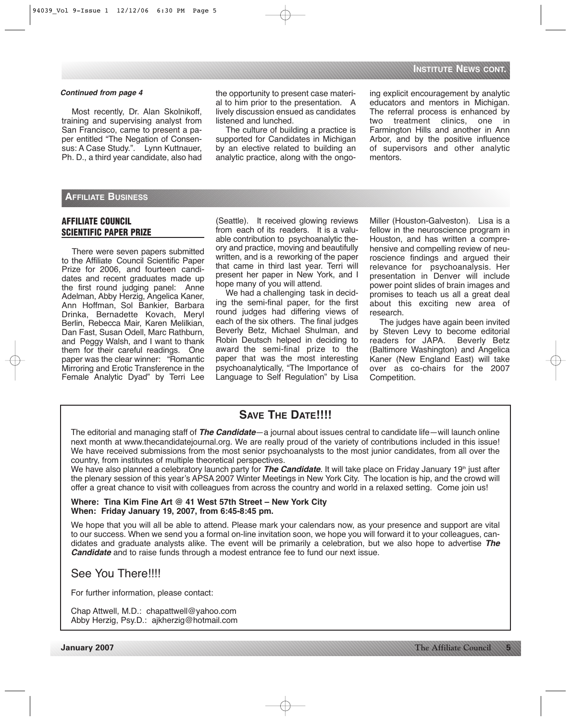Most recently, Dr. Alan Skolnikoff, training and supervising analyst from San Francisco, came to present a paper entitled "The Negation of Consensus: A Case Study.". Lynn Kuttnauer, Ph. D., a third year candidate, also had

**Continued from page 4** induction the opportunity to present case materi- ing explicit encouragement by analytic al to him prior to the presentation. A lively discussion ensued as candidates listened and lunched.

> The culture of building a practice is supported for Candidates in Michigan by an elective related to building an analytic practice, along with the ongo

educators and mentors in Michigan. The referral process is enhanced by<br>two treatment clinics, one in two treatment clinics, Farmington Hills and another in Ann Arbor, and by the positive influence of supervisors and other analytic mentors.

## **AFFILIATE BUSINESS**

## **AFFILIATE COUNCIL SCIENTIFIC PAPER PRIZE**

There were seven papers submitted to the Affiliate Council Scientific Paper Prize for 2006, and fourteen candidates and recent graduates made up the first round judging panel: Anne Adelman, Abby Herzig, Angelica Kaner, Ann Hoffman, Sol Bankier, Barbara Drinka, Bernadette Kovach, Meryl Berlin, Rebecca Mair, Karen Melilkian, Dan Fast, Susan Odell, Marc Rathburn, and Peggy Walsh, and I want to thank them for their careful readings. One paper was the clear winner: "Romantic Mirroring and Erotic Transference in the Female Analytic Dyad" by Terri Lee (Seattle). It received glowing reviews from each of its readers. It is a valuable contribution to psychoanalytic theory and practice, moving and beautifully written, and is a reworking of the paper that came in third last year. Terri will present her paper in New York, and I hope many of you will attend.

We had a challenging task in deciding the semi-final paper, for the first round judges had differing views of each of the six others. The final judges Beverly Betz, Michael Shulman, and Robin Deutsch helped in deciding to award the semi-final prize to the paper that was the most interesting psychoanalytically, "The Importance of Language to Self Regulation" by Lisa

Miller (Houston-Galveston). Lisa is a fellow in the neuroscience program in Houston, and has written a comprehensive and compelling review of neuroscience findings and argued their relevance for psychoanalysis. Her presentation in Denver will include power point slides of brain images and promises to teach us all a great deal about this exciting new area of research.

The judges have again been invited by Steven Levy to become editorial readers for JAPA. Beverly Betz (Baltimore Washington) and Angelica Kaner (New England East) will take over as co-chairs for the 2007 Competition.

# **SAVE THE DATE!!!!**

The editorial and managing staff of *The Candidate*—a journal about issues central to candidate life—will launch online next month at www.thecandidatejournal.org. We are really proud of the variety of contributions included in this issue! We have received submissions from the most senior psychoanalysts to the most junior candidates, from all over the country, from institutes of multiple theoretical perspectives.

We have also planned a celebratory launch party for **The Candidate**. It will take place on Friday January 19<sup>th</sup> just after the plenary session of this year's APSA 2007 Winter Meetings in New York City. The location is hip, and the crowd will offer a great chance to visit with colleagues from across the country and world in a relaxed setting. Come join us!

## **Where: Tina Kim Fine Art @ 41 West 57th Street – New York City When: Friday January 19, 2007, from 6:45-8:45 pm.**

We hope that you will all be able to attend. Please mark your calendars now, as your presence and support are vital to our success. When we send you a formal on-line invitation soon, we hope you will forward it to your colleagues, candidates and graduate analysts alike. The event will be primarily a celebration, but we also hope to advertise *The Candidate* and to raise funds through a modest entrance fee to fund our next issue.

# See You There!!!!

For further information, please contact:

Chap Attwell, M.D.: chapattwell@yahoo.com Abby Herzig, Psy.D.: ajkherzig@hotmail.com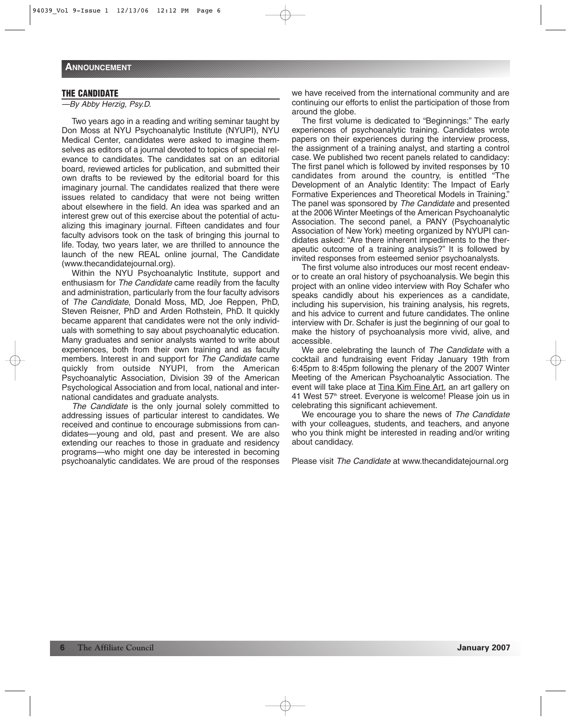## **THE CANDIDATE**

—By Abby Herzig, Psy.D.

Two years ago in a reading and writing seminar taught by Don Moss at NYU Psychoanalytic Institute (NYUPI), NYU Medical Center, candidates were asked to imagine themselves as editors of a journal devoted to topics of special relevance to candidates. The candidates sat on an editorial board, reviewed articles for publication, and submitted their own drafts to be reviewed by the editorial board for this imaginary journal. The candidates realized that there were issues related to candidacy that were not being written about elsewhere in the field. An idea was sparked and an interest grew out of this exercise about the potential of actualizing this imaginary journal. Fifteen candidates and four faculty advisors took on the task of bringing this journal to life. Today, two years later, we are thrilled to announce the launch of the new REAL online journal, The Candidate (www.thecandidatejournal.org).

Within the NYU Psychoanalytic Institute, support and enthusiasm for The Candidate came readily from the faculty and administration, particularly from the four faculty advisors of The Candidate, Donald Moss, MD, Joe Reppen, PhD, Steven Reisner, PhD and Arden Rothstein, PhD. It quickly became apparent that candidates were not the only individuals with something to say about psychoanalytic education. Many graduates and senior analysts wanted to write about experiences, both from their own training and as faculty members. Interest in and support for The Candidate came quickly from outside NYUPI, from the American Psychoanalytic Association, Division 39 of the American Psychological Association and from local, national and international candidates and graduate analysts.

The Candidate is the only journal solely committed to addressing issues of particular interest to candidates. We received and continue to encourage submissions from candidates—young and old, past and present. We are also extending our reaches to those in graduate and residency programs—who might one day be interested in becoming psychoanalytic candidates. We are proud of the responses we have received from the international community and are continuing our efforts to enlist the participation of those from around the globe.

The first volume is dedicated to "Beginnings:" The early experiences of psychoanalytic training. Candidates wrote papers on their experiences during the interview process, the assignment of a training analyst, and starting a control case. We published two recent panels related to candidacy: The first panel which is followed by invited responses by 10 candidates from around the country, is entitled "The Development of an Analytic Identity: The Impact of Early Formative Experiences and Theoretical Models in Training." The panel was sponsored by The Candidate and presented at the 2006 Winter Meetings of the American Psychoanalytic Association. The second panel, a PANY (Psychoanalytic Association of New York) meeting organized by NYUPI candidates asked: "Are there inherent impediments to the therapeutic outcome of a training analysis?" It is followed by invited responses from esteemed senior psychoanalysts.

The first volume also introduces our most recent endeavor to create an oral history of psychoanalysis. We begin this project with an online video interview with Roy Schafer who speaks candidly about his experiences as a candidate, including his supervision, his training analysis, his regrets, and his advice to current and future candidates. The online interview with Dr. Schafer is just the beginning of our goal to make the history of psychoanalysis more vivid, alive, and accessible.

We are celebrating the launch of The Candidate with a cocktail and fundraising event Friday January 19th from 6:45pm to 8:45pm following the plenary of the 2007 Winter Meeting of the American Psychoanalytic Association. The event will take place at Tina Kim Fine Art, an art gallery on 41 West 57<sup>th</sup> street. Everyone is welcome! Please join us in celebrating this significant achievement.

We encourage you to share the news of The Candidate with your colleagues, students, and teachers, and anyone who you think might be interested in reading and/or writing about candidacy.

Please visit The Candidate at www.thecandidatejournal.org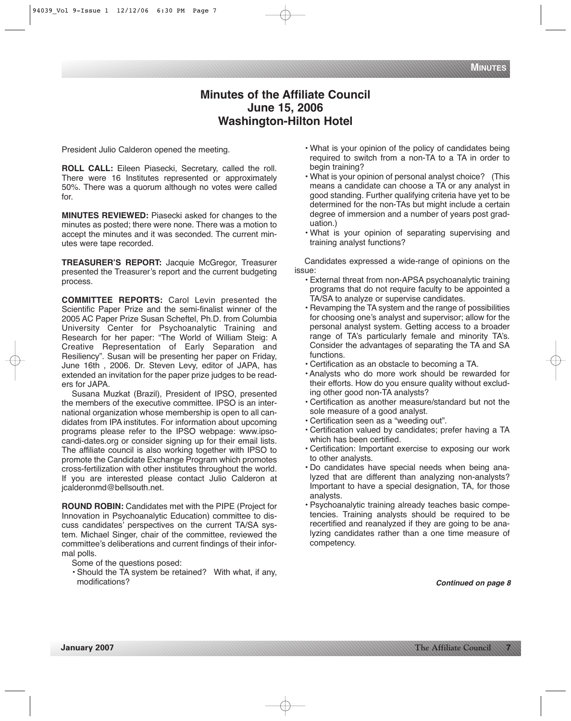# **Minutes of the Affiliate Council June 15, 2006 Washington-Hilton Hotel**

President Julio Calderon opened the meeting.

**ROLL CALL:** Eileen Piasecki, Secretary, called the roll. There were 16 Institutes represented or approximately 50%. There was a quorum although no votes were called for.

**MINUTES REVIEWED:** Piasecki asked for changes to the minutes as posted; there were none. There was a motion to accept the minutes and it was seconded. The current minutes were tape recorded.

**TREASURER'S REPORT:** Jacquie McGregor, Treasurer presented the Treasurer's report and the current budgeting process.

**COMMITTEE REPORTS:** Carol Levin presented the Scientific Paper Prize and the semi-finalist winner of the 2005 AC Paper Prize Susan Scheftel, Ph.D. from Columbia University Center for Psychoanalytic Training and Research for her paper: "The World of William Steig: A Creative Representation of Early Separation and Resiliency". Susan will be presenting her paper on Friday, June 16th , 2006. Dr. Steven Levy, editor of JAPA, has extended an invitation for the paper prize judges to be readers for JAPA.

Susana Muzkat (Brazil), President of IPSO, presented the members of the executive committee. IPSO is an international organization whose membership is open to all candidates from IPA institutes. For information about upcoming programs please refer to the IPSO webpage: www.ipsocandi-dates.org or consider signing up for their email lists. The affiliate council is also working together with IPSO to promote the Candidate Exchange Program which promotes cross-fertilization with other institutes throughout the world. If you are interested please contact Julio Calderon at jcalderonmd@bellsouth.net.

**ROUND ROBIN:** Candidates met with the PIPE (Project for Innovation in Psychoanalytic Education) committee to discuss candidates' perspectives on the current TA/SA system. Michael Singer, chair of the committee, reviewed the committee's deliberations and current findings of their informal polls.

- Some of the questions posed:
- Should the TA system be retained? With what, if any, modifications?
- What is your opinion of the policy of candidates being required to switch from a non-TA to a TA in order to begin training?
- What is your opinion of personal analyst choice? (This means a candidate can choose a TA or any analyst in good standing. Further qualifying criteria have yet to be determined for the non-TAs but might include a certain degree of immersion and a number of years post graduation.)
- What is your opinion of separating supervising and training analyst functions?

Candidates expressed a wide-range of opinions on the issue:

- External threat from non-APSA psychoanalytic training programs that do not require faculty to be appointed a TA/SA to analyze or supervise candidates.
- Revamping the TA system and the range of possibilities for choosing one's analyst and supervisor; allow for the personal analyst system. Getting access to a broader range of TA's particularly female and minority TA's. Consider the advantages of separating the TA and SA functions.
- Certification as an obstacle to becoming a TA.
- Analysts who do more work should be rewarded for their efforts. How do you ensure quality without excluding other good non-TA analysts?
- Certification as another measure/standard but not the sole measure of a good analyst.
- Certification seen as a "weeding out".
- Certification valued by candidates; prefer having a TA which has been certified.
- Certification: Important exercise to exposing our work to other analysts.
- Do candidates have special needs when being analyzed that are different than analyzing non-analysts? Important to have a special designation, TA, for those analysts.
- Psychoanalytic training already teaches basic competencies. Training analysts should be required to be recertified and reanalyzed if they are going to be analyzing candidates rather than a one time measure of competency.

*Continued on page 8*